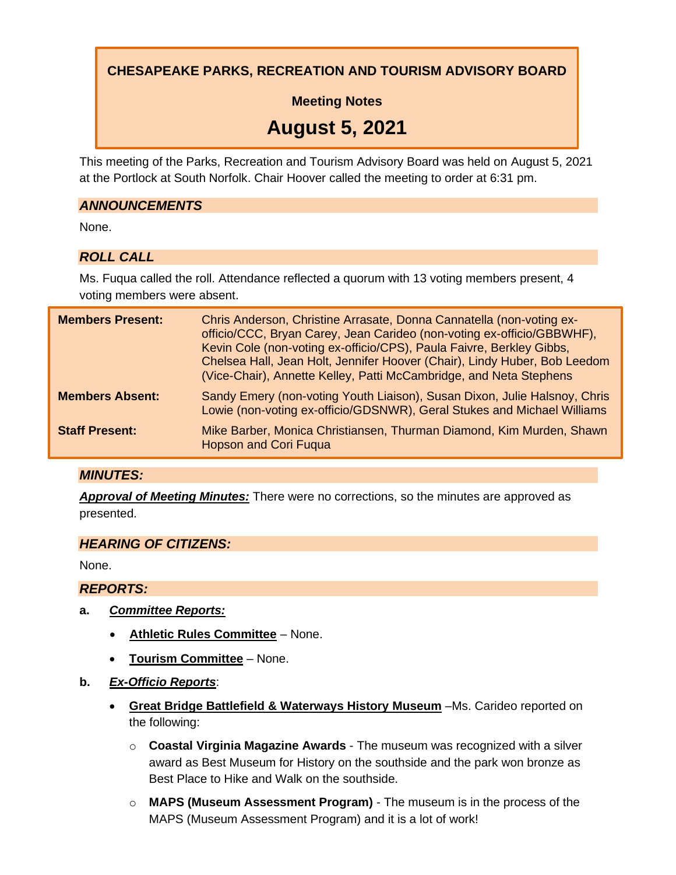**CHESAPEAKE PARKS, RECREATION AND TOURISM ADVISORY BOARD**

**Meeting Notes**

# **August 5, 2021**

This meeting of the Parks, Recreation and Tourism Advisory Board was held on August 5, 2021 at the Portlock at South Norfolk. Chair Hoover called the meeting to order at 6:31 pm.

#### *ANNOUNCEMENTS*

None.

## *ROLL CALL*

Ms. Fuqua called the roll. Attendance reflected a quorum with 13 voting members present, 4 voting members were absent.

| <b>Members Present:</b> | Chris Anderson, Christine Arrasate, Donna Cannatella (non-voting ex-<br>officio/CCC, Bryan Carey, Jean Carideo (non-voting ex-officio/GBBWHF),<br>Kevin Cole (non-voting ex-officio/CPS), Paula Faivre, Berkley Gibbs,<br>Chelsea Hall, Jean Holt, Jennifer Hoover (Chair), Lindy Huber, Bob Leedom<br>(Vice-Chair), Annette Kelley, Patti McCambridge, and Neta Stephens |
|-------------------------|---------------------------------------------------------------------------------------------------------------------------------------------------------------------------------------------------------------------------------------------------------------------------------------------------------------------------------------------------------------------------|
| <b>Members Absent:</b>  | Sandy Emery (non-voting Youth Liaison), Susan Dixon, Julie Halsnoy, Chris<br>Lowie (non-voting ex-officio/GDSNWR), Geral Stukes and Michael Williams                                                                                                                                                                                                                      |
| <b>Staff Present:</b>   | Mike Barber, Monica Christiansen, Thurman Diamond, Kim Murden, Shawn<br><b>Hopson and Cori Fuqua</b>                                                                                                                                                                                                                                                                      |

#### *MINUTES:*

*Approval of Meeting Minutes:* There were no corrections, so the minutes are approved as presented.

#### *HEARING OF CITIZENS:*

None.

*REPORTS:*

- **a.** *Committee Reports:*
	- **Athletic Rules Committee** None.
	- **Tourism Committee** None.
- **b.** *Ex-Officio Reports*:
	- **Great Bridge Battlefield & Waterways History Museum** –Ms. Carideo reported on the following:
		- o **Coastal Virginia Magazine Awards** The museum was recognized with a silver award as Best Museum for History on the southside and the park won bronze as Best Place to Hike and Walk on the southside.
		- o **MAPS (Museum Assessment Program)** The museum is in the process of the MAPS (Museum Assessment Program) and it is a lot of work!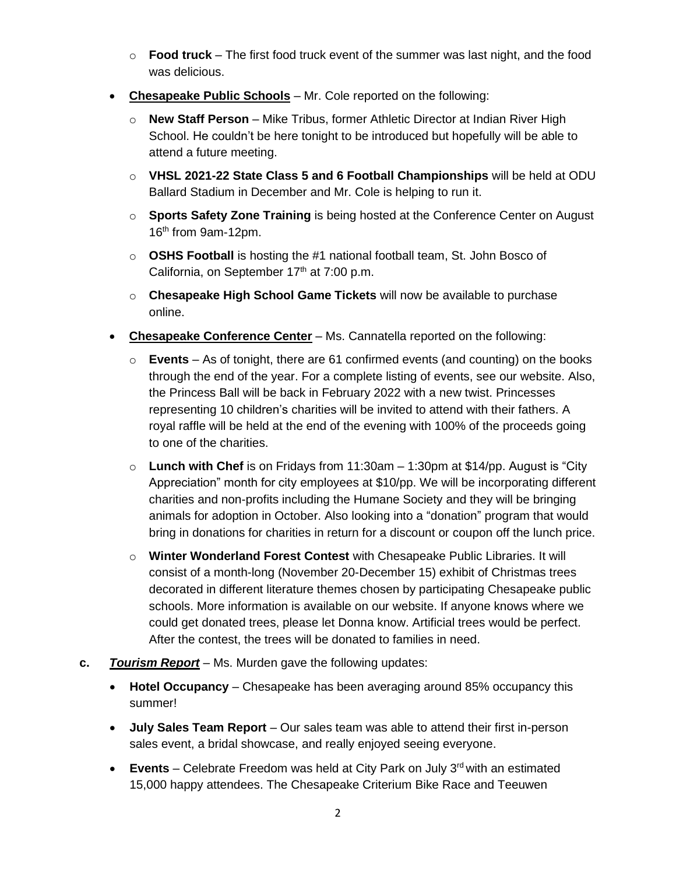- o **Food truck** The first food truck event of the summer was last night, and the food was delicious.
- **Chesapeake Public Schools** Mr. Cole reported on the following:
	- o **New Staff Person** Mike Tribus, former Athletic Director at Indian River High School. He couldn't be here tonight to be introduced but hopefully will be able to attend a future meeting.
	- o **VHSL 2021-22 State Class 5 and 6 Football Championships** will be held at ODU Ballard Stadium in December and Mr. Cole is helping to run it.
	- o **Sports Safety Zone Training** is being hosted at the Conference Center on August 16th from 9am-12pm.
	- o **OSHS Football** is hosting the #1 national football team, St. John Bosco of California, on September 17<sup>th</sup> at 7:00 p.m.
	- o **Chesapeake High School Game Tickets** will now be available to purchase online.
- **Chesapeake Conference Center** Ms. Cannatella reported on the following:
	- o **Events** As of tonight, there are 61 confirmed events (and counting) on the books through the end of the year. For a complete listing of events, see our website. Also, the Princess Ball will be back in February 2022 with a new twist. Princesses representing 10 children's charities will be invited to attend with their fathers. A royal raffle will be held at the end of the evening with 100% of the proceeds going to one of the charities.
	- o **Lunch with Chef** is on Fridays from 11:30am 1:30pm at \$14/pp. August is "City Appreciation" month for city employees at \$10/pp. We will be incorporating different charities and non-profits including the Humane Society and they will be bringing animals for adoption in October. Also looking into a "donation" program that would bring in donations for charities in return for a discount or coupon off the lunch price.
	- o **Winter Wonderland Forest Contest** with Chesapeake Public Libraries. It will consist of a month-long (November 20-December 15) exhibit of Christmas trees decorated in different literature themes chosen by participating Chesapeake public schools. More information is available on our website. If anyone knows where we could get donated trees, please let Donna know. Artificial trees would be perfect. After the contest, the trees will be donated to families in need.
- **c.** *Tourism Report* Ms. Murden gave the following updates:
	- **Hotel Occupancy** Chesapeake has been averaging around 85% occupancy this summer!
	- **July Sales Team Report**  Our sales team was able to attend their first in-person sales event, a bridal showcase, and really enjoyed seeing everyone.
	- **Events** Celebrate Freedom was held at City Park on July 3<sup>rd</sup> with an estimated 15,000 happy attendees. The Chesapeake Criterium Bike Race and Teeuwen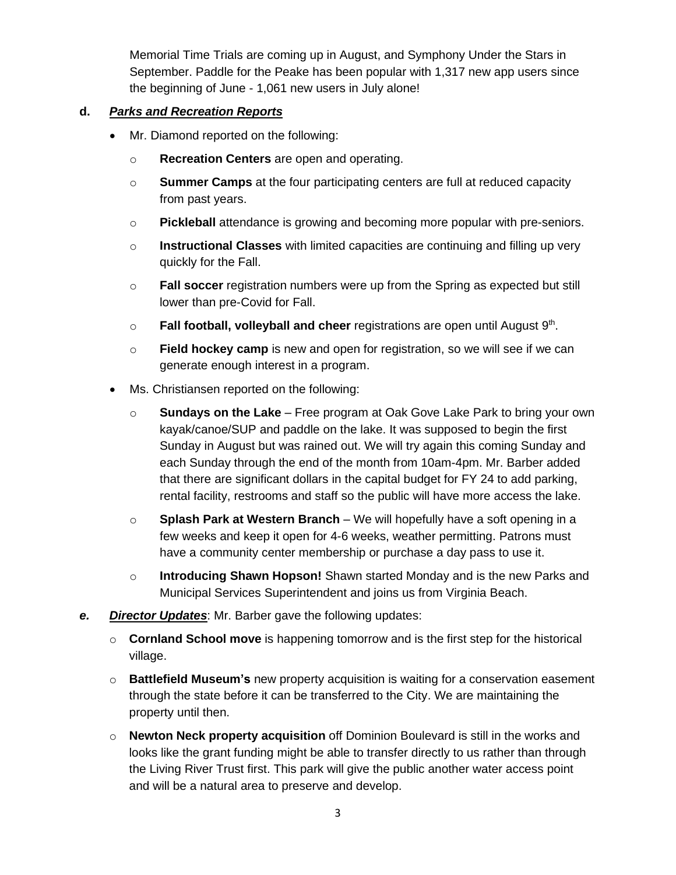Memorial Time Trials are coming up in August, and Symphony Under the Stars in September. Paddle for the Peake has been popular with 1,317 new app users since the beginning of June - 1,061 new users in July alone!

#### **d.** *Parks and Recreation Reports*

- Mr. Diamond reported on the following:
	- o **Recreation Centers** are open and operating.
	- o **Summer Camps** at the four participating centers are full at reduced capacity from past years.
	- o **Pickleball** attendance is growing and becoming more popular with pre-seniors.
	- o **Instructional Classes** with limited capacities are continuing and filling up very quickly for the Fall.
	- o **Fall soccer** registration numbers were up from the Spring as expected but still lower than pre-Covid for Fall.
	- o **Fall football, volleyball and cheer** registrations are open until August 9<sup>th</sup>.
	- o **Field hockey camp** is new and open for registration, so we will see if we can generate enough interest in a program.
- Ms. Christiansen reported on the following:
	- o **Sundays on the Lake** Free program at Oak Gove Lake Park to bring your own kayak/canoe/SUP and paddle on the lake. It was supposed to begin the first Sunday in August but was rained out. We will try again this coming Sunday and each Sunday through the end of the month from 10am-4pm. Mr. Barber added that there are significant dollars in the capital budget for FY 24 to add parking, rental facility, restrooms and staff so the public will have more access the lake.
	- o **Splash Park at Western Branch** We will hopefully have a soft opening in a few weeks and keep it open for 4-6 weeks, weather permitting. Patrons must have a community center membership or purchase a day pass to use it.
	- o **Introducing Shawn Hopson!** Shawn started Monday and is the new Parks and Municipal Services Superintendent and joins us from Virginia Beach.
- *e. Director Updates*: Mr. Barber gave the following updates:
	- o **Cornland School move** is happening tomorrow and is the first step for the historical village.
	- o **Battlefield Museum's** new property acquisition is waiting for a conservation easement through the state before it can be transferred to the City. We are maintaining the property until then.
	- o **Newton Neck property acquisition** off Dominion Boulevard is still in the works and looks like the grant funding might be able to transfer directly to us rather than through the Living River Trust first. This park will give the public another water access point and will be a natural area to preserve and develop.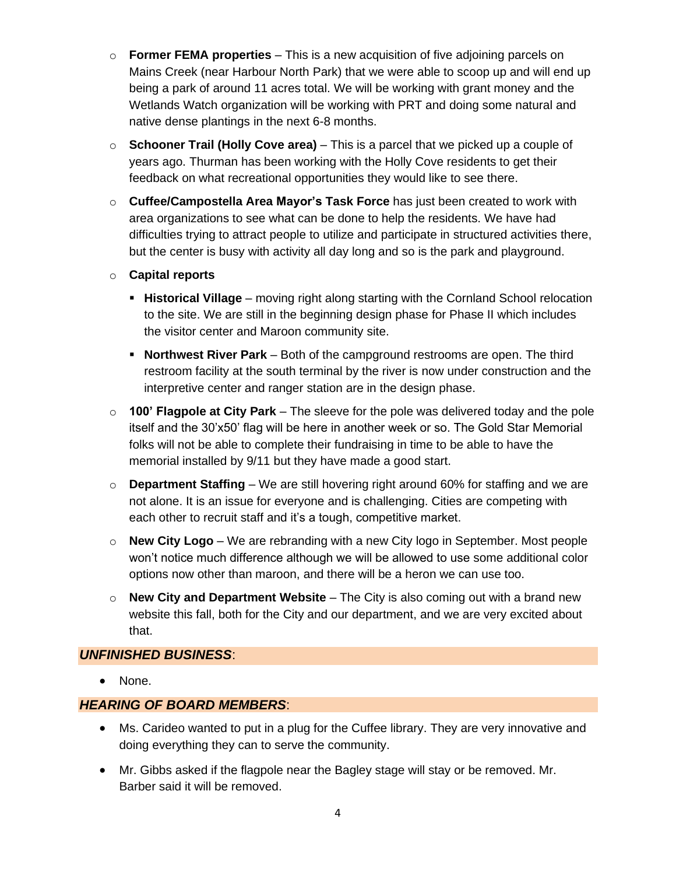- o **Former FEMA properties** This is a new acquisition of five adjoining parcels on Mains Creek (near Harbour North Park) that we were able to scoop up and will end up being a park of around 11 acres total. We will be working with grant money and the Wetlands Watch organization will be working with PRT and doing some natural and native dense plantings in the next 6-8 months.
- o **Schooner Trail (Holly Cove area)** This is a parcel that we picked up a couple of years ago. Thurman has been working with the Holly Cove residents to get their feedback on what recreational opportunities they would like to see there.
- o **Cuffee/Campostella Area Mayor's Task Force** has just been created to work with area organizations to see what can be done to help the residents. We have had difficulties trying to attract people to utilize and participate in structured activities there, but the center is busy with activity all day long and so is the park and playground.
- o **Capital reports**
	- **.** Historical Village moving right along starting with the Cornland School relocation to the site. We are still in the beginning design phase for Phase II which includes the visitor center and Maroon community site.
	- **Northwest River Park** Both of the campground restrooms are open. The third restroom facility at the south terminal by the river is now under construction and the interpretive center and ranger station are in the design phase.
- o **100' Flagpole at City Park** The sleeve for the pole was delivered today and the pole itself and the 30'x50' flag will be here in another week or so. The Gold Star Memorial folks will not be able to complete their fundraising in time to be able to have the memorial installed by 9/11 but they have made a good start.
- o **Department Staffing** We are still hovering right around 60% for staffing and we are not alone. It is an issue for everyone and is challenging. Cities are competing with each other to recruit staff and it's a tough, competitive market.
- o **New City Logo** We are rebranding with a new City logo in September. Most people won't notice much difference although we will be allowed to use some additional color options now other than maroon, and there will be a heron we can use too.
- o **New City and Department Website** The City is also coming out with a brand new website this fall, both for the City and our department, and we are very excited about that.

#### *UNFINISHED BUSINESS*:

• None.

### *HEARING OF BOARD MEMBERS*:

- Ms. Carideo wanted to put in a plug for the Cuffee library. They are very innovative and doing everything they can to serve the community.
- Mr. Gibbs asked if the flagpole near the Bagley stage will stay or be removed. Mr. Barber said it will be removed.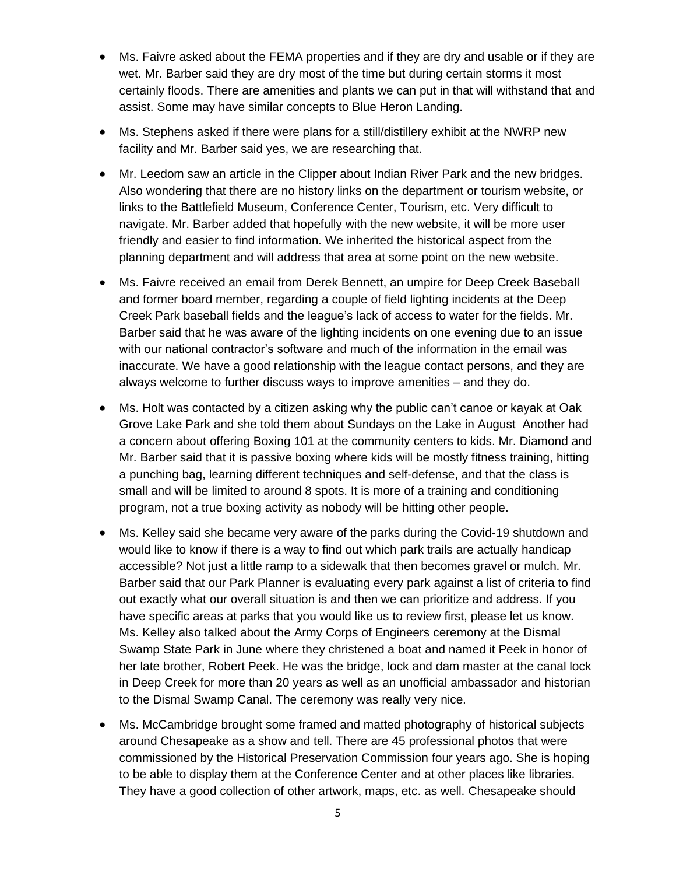- Ms. Faivre asked about the FEMA properties and if they are dry and usable or if they are wet. Mr. Barber said they are dry most of the time but during certain storms it most certainly floods. There are amenities and plants we can put in that will withstand that and assist. Some may have similar concepts to Blue Heron Landing.
- Ms. Stephens asked if there were plans for a still/distillery exhibit at the NWRP new facility and Mr. Barber said yes, we are researching that.
- Mr. Leedom saw an article in the Clipper about Indian River Park and the new bridges. Also wondering that there are no history links on the department or tourism website, or links to the Battlefield Museum, Conference Center, Tourism, etc. Very difficult to navigate. Mr. Barber added that hopefully with the new website, it will be more user friendly and easier to find information. We inherited the historical aspect from the planning department and will address that area at some point on the new website.
- Ms. Faivre received an email from Derek Bennett, an umpire for Deep Creek Baseball and former board member, regarding a couple of field lighting incidents at the Deep Creek Park baseball fields and the league's lack of access to water for the fields. Mr. Barber said that he was aware of the lighting incidents on one evening due to an issue with our national contractor's software and much of the information in the email was inaccurate. We have a good relationship with the league contact persons, and they are always welcome to further discuss ways to improve amenities – and they do.
- Ms. Holt was contacted by a citizen asking why the public can't canoe or kayak at Oak Grove Lake Park and she told them about Sundays on the Lake in August Another had a concern about offering Boxing 101 at the community centers to kids. Mr. Diamond and Mr. Barber said that it is passive boxing where kids will be mostly fitness training, hitting a punching bag, learning different techniques and self-defense, and that the class is small and will be limited to around 8 spots. It is more of a training and conditioning program, not a true boxing activity as nobody will be hitting other people.
- Ms. Kelley said she became very aware of the parks during the Covid-19 shutdown and would like to know if there is a way to find out which park trails are actually handicap accessible? Not just a little ramp to a sidewalk that then becomes gravel or mulch. Mr. Barber said that our Park Planner is evaluating every park against a list of criteria to find out exactly what our overall situation is and then we can prioritize and address. If you have specific areas at parks that you would like us to review first, please let us know. Ms. Kelley also talked about the Army Corps of Engineers ceremony at the Dismal Swamp State Park in June where they christened a boat and named it Peek in honor of her late brother, Robert Peek. He was the bridge, lock and dam master at the canal lock in Deep Creek for more than 20 years as well as an unofficial ambassador and historian to the Dismal Swamp Canal. The ceremony was really very nice.
- Ms. McCambridge brought some framed and matted photography of historical subjects around Chesapeake as a show and tell. There are 45 professional photos that were commissioned by the Historical Preservation Commission four years ago. She is hoping to be able to display them at the Conference Center and at other places like libraries. They have a good collection of other artwork, maps, etc. as well. Chesapeake should